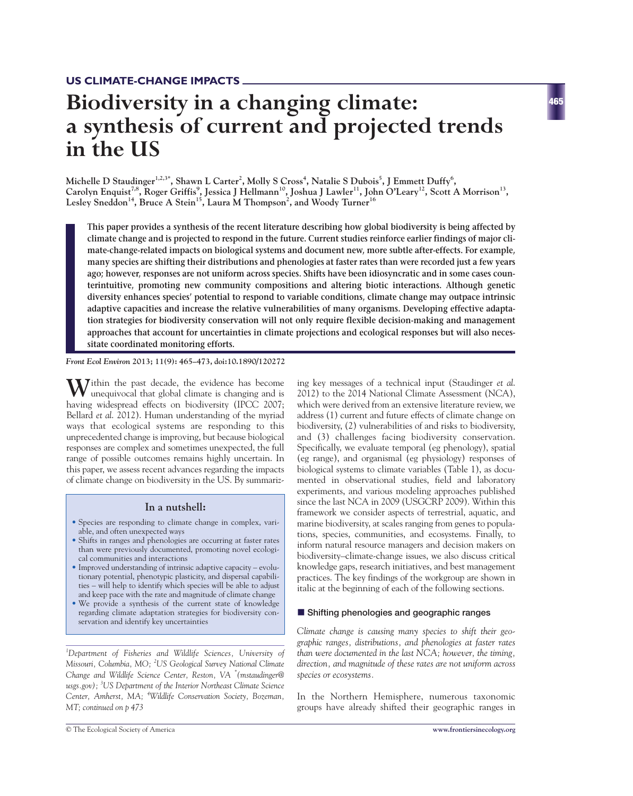# **Biodiversity in a changing climate: a synthesis of current and projected trends in the US**

<code>Michelle D Staudinger $^{1,2,3^*}$ , Shawn L Carter<sup>2</sup>, Molly S Cross<sup>4</sup>, Natalie S Dubois $^5$ , J Emmett Duffy $^6$ ,</code> **Carolyn Enquist7,8, Roger Griffis9 , Jessica J Hellmann10, Joshua J Lawler11, John O'Leary12, Scott A Morrison13,**  $\rm{Lesley\ Sneddon}^{14}, \rm{ Bruce\ A\ Stein}^{15}, \rm{Laura\ M\ Thompson}^2, \rm{and}\ Woody\ Turner^{16}$ 

**This paper provides a synthesis of the recent literature describing how global biodiversity is being affected by climate change and is projected to respond in the future. Current studies reinforce earlier findings of major climate-change-related impacts on biological systems and document new, more subtle after-effects. For example, many species are shifting their distributions and phenologies at faster rates than were recorded just a few years ago; however, responses are not uniform across species. Shifts have been idiosyncratic and in some cases counterintuitive, promoting new community compositions and altering biotic interactions. Although genetic diversity enhances species' potential to respond to variable conditions, climate change may outpace intrinsic adaptive capacities and increase the relative vulnerabilities of many organisms. Developing effective adaptation strategies for biodiversity conservation will not only require flexible decision-making and management approaches that account for uncertainties in climate projections and ecological responses but will also necessitate coordinated monitoring efforts.**

*Front Ecol Environ* **2013; 11(9): 465–473, doi:10.1890/120272**

**Tithin** the past decade, the evidence has become unequivocal that global climate is changing and is having widespread effects on biodiversity (IPCC 2007; Bellard *et al*. 2012). Human understanding of the myriad ways that ecological systems are responding to this unprecedented change is improving, but because biological responses are complex and sometimes unexpected, the full range of possible outcomes remains highly uncertain. In this paper, we assess recent advances regarding the impacts of climate change on biodiversity in the US. By summariz-

## **In a nutshell:**

- Species are responding to climate change in complex, variable, and often unexpected ways
- Shifts in ranges and phenologies are occurring at faster rates than were previously documented, promoting novel ecological communities and interactions
- Improved understanding of intrinsic adaptive capacity evolutionary potential, phenotypic plasticity, and dispersal capabilities – will help to identify which species will be able to adjust and keep pace with the rate and magnitude of climate change
- We provide a synthesis of the current state of knowledge regarding climate adaptation strategies for biodiversity conservation and identify key uncertainties

*1 Department of Fisheries and Wildlife Sciences, University of Missouri, Columbia, MO; <sup>2</sup> US Geological Survey National Climate Change and Wildlife Science Center, Reston, VA \* (mstaudinger@ usgs.gov); <sup>3</sup> US Department of the Interior Northeast Climate Science Center, Amherst, MA; <sup>4</sup> Wildlife Conservation Society, Bozeman, MT; continued on p 473*

ing key messages of a technical input (Staudinger *et al*. 2012) to the 2014 National Climate Assessment (NCA), which were derived from an extensive literature review, we address (1) current and future effects of climate change on biodiversity, (2) vulnerabilities of and risks to biodiversity, and (3) challenges facing biodiversity conservation. Specifically, we evaluate temporal (eg phenology), spatial (eg range), and organismal (eg physiology) responses of biological systems to climate variables (Table 1), as documented in observational studies, field and laboratory experiments, and various modeling approaches published since the last NCA in 2009 (USGCRP 2009). Within this framework we consider aspects of terrestrial, aquatic, and marine biodiversity, at scales ranging from genes to populations, species, communities, and ecosystems. Finally, to inform natural resource managers and decision makers on biodiversity–climate-change issues, we also discuss critical knowledge gaps, research initiatives, and best management practices. The key findings of the workgroup are shown in italic at the beginning of each of the following sections.

## ■ Shifting phenologies and geographic ranges

*Climate change is causing many species to shift their geographic ranges, distributions, and phenologies at faster rates than were documented in the last NCA; however, the timing, direction, and magnitude of these rates are not uniform across species or ecosystems.*

In the Northern Hemisphere, numerous taxonomic groups have already shifted their geographic ranges in **465**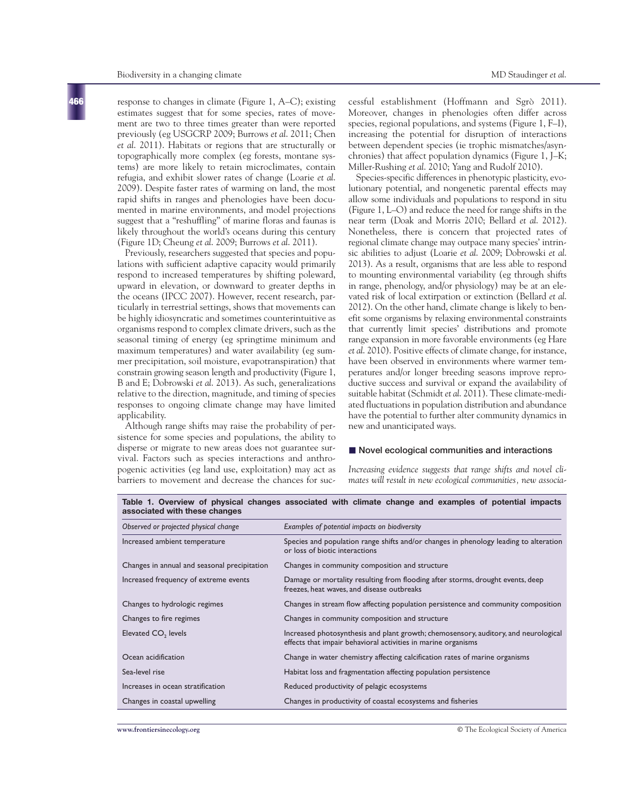response to changes in climate (Figure 1, A–C); existing estimates suggest that for some species, rates of movement are two to three times greater than were reported previously (eg USGCRP 2009; Burrows *et al*. 2011; Chen *et al*. 2011). Habitats or regions that are structurally or topographically more complex (eg forests, montane systems) are more likely to retain microclimates, contain refugia, and exhibit slower rates of change (Loarie *et al*. 2009). Despite faster rates of warming on land, the most rapid shifts in ranges and phenologies have been documented in marine environments, and model projections suggest that a "reshuffling" of marine floras and faunas is likely throughout the world's oceans during this century (Figure 1D; Cheung *et al*. 2009; Burrows *et al*. 2011).

Previously, researchers suggested that species and populations with sufficient adaptive capacity would primarily respond to increased temperatures by shifting poleward, upward in elevation, or downward to greater depths in the oceans (IPCC 2007). However, recent research, particularly in terrestrial settings, shows that movements can be highly idiosyncratic and sometimes counterintuitive as organisms respond to complex climate drivers, such as the seasonal timing of energy (eg springtime minimum and maximum temperatures) and water availability (eg summer precipitation, soil moisture, evapotranspiration) that constrain growing season length and productivity (Figure 1, B and E; Dobrowski *et al*. 2013). As such, generalizations relative to the direction, magnitude, and timing of species responses to ongoing climate change may have limited applicability.

Although range shifts may raise the probability of persistence for some species and populations, the ability to disperse or migrate to new areas does not guarantee survival. Factors such as species interactions and anthropogenic activities (eg land use, exploitation) may act as barriers to movement and decrease the chances for successful establishment (Hoffmann and Sgrò 2011). Moreover, changes in phenologies often differ across species, regional populations, and systems (Figure 1, F–I), increasing the potential for disruption of interactions between dependent species (ie trophic mismatches/asynchronies) that affect population dynamics (Figure 1, J–K; Miller-Rushing *et al*. 2010; Yang and Rudolf 2010).

Species-specific differences in phenotypic plasticity, evolutionary potential, and nongenetic parental effects may allow some individuals and populations to respond in situ (Figure 1, L–O) and reduce the need for range shifts in the near term (Doak and Morris 2010; Bellard *et al*. 2012). Nonetheless, there is concern that projected rates of regional climate change may outpace many species' intrinsic abilities to adjust (Loarie *et al*. 2009; Dobrowski *et al*. 2013). As a result, organisms that are less able to respond to mounting environmental variability (eg through shifts in range, phenology, and/or physiology) may be at an elevated risk of local extirpation or extinction (Bellard *et al*. 2012). On the other hand, climate change is likely to benefit some organisms by relaxing environmental constraints that currently limit species' distributions and promote range expansion in more favorable environments (eg Hare *et al*. 2010). Positive effects of climate change, for instance, have been observed in environments where warmer temperatures and/or longer breeding seasons improve reproductive success and survival or expand the availability of suitable habitat (Schmidt *et al*. 2011). These climate-mediated fluctuations in population distribution and abundance have the potential to further alter community dynamics in new and unanticipated ways.

#### ■ Novel ecological communities and interactions

*Increasing evidence suggests that range shifts and novel climates will result in new ecological communities, new associa-*

| Observed or projected physical change        | Examples of potential impacts on biodiversity                                                                                                        |
|----------------------------------------------|------------------------------------------------------------------------------------------------------------------------------------------------------|
| Increased ambient temperature                | Species and population range shifts and/or changes in phenology leading to alteration<br>or loss of biotic interactions                              |
| Changes in annual and seasonal precipitation | Changes in community composition and structure                                                                                                       |
| Increased frequency of extreme events        | Damage or mortality resulting from flooding after storms, drought events, deep<br>freezes, heat waves, and disease outbreaks                         |
| Changes to hydrologic regimes                | Changes in stream flow affecting population persistence and community composition                                                                    |
| Changes to fire regimes                      | Changes in community composition and structure                                                                                                       |
| Elevated CO <sub>2</sub> levels              | Increased photosynthesis and plant growth; chemosensory, auditory, and neurological<br>effects that impair behavioral activities in marine organisms |
| Ocean acidification                          | Change in water chemistry affecting calcification rates of marine organisms                                                                          |
| Sea-level rise                               | Habitat loss and fragmentation affecting population persistence                                                                                      |
| Increases in ocean stratification            | Reduced productivity of pelagic ecosystems                                                                                                           |
| Changes in coastal upwelling                 | Changes in productivity of coastal ecosystems and fisheries                                                                                          |

**Table 1. Overview of physical changes associated with climate change and examples of potential impacts associated with these changes**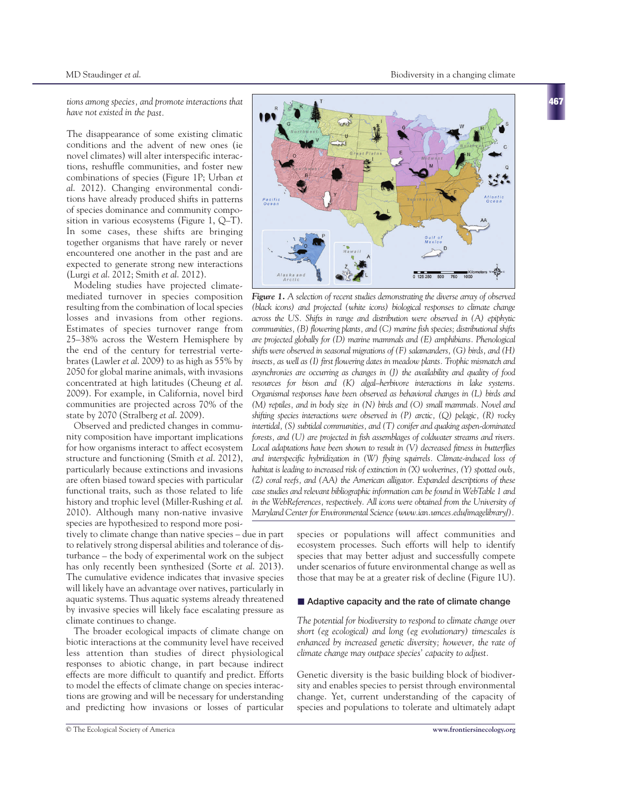*tions among species, and promote interactions that have not existed in the past.*

The disappearance of some existing climatic conditions and the advent of new ones (ie novel climates) will alter interspecific interactions, reshuffle communities, and foster new combinations of species (Figure 1P; Urban *et al*. 2012). Changing environmental conditions have already produced shifts in patterns of species dominance and community composition in various ecosystems (Figure 1, Q–T). In some cases, these shifts are bringing together organisms that have rarely or never encountered one another in the past and are expected to generate strong new interactions (Lurgi *et al*. 2012; Smith *et al*. 2012).

Modeling studies have projected climatemediated turnover in species composition resulting from the combination of local species losses and invasions from other regions. Estimates of species turnover range from 25–38% across the Western Hemisphere by the end of the century for terrestrial vertebrates (Lawler *et al*. 2009) to as high as 55% by 2050 for global marine animals, with invasions concentrated at high latitudes (Cheung *et al*. 2009). For example, in California, novel bird communities are projected across 70% of the state by 2070 (Stralberg *et al*. 2009).

Observed and predicted changes in community composition have important implications for how organisms interact to affect ecosystem structure and functioning (Smith *et al*. 2012), particularly because extinctions and invasions are often biased toward species with particular functional traits, such as those related to life history and trophic level (Miller-Rushing *et al*. 2010). Although many non-native invasive species are hypothesized to respond more posi-

tively to climate change than native species – due in part to relatively strong dispersal abilities and tolerance of disturbance – the body of experimental work on the subject has only recently been synthesized (Sorte *et al*. 2013). The cumulative evidence indicates that invasive species will likely have an advantage over natives, particularly in aquatic systems. Thus aquatic systems already threatened by invasive species will likely face escalating pressure as climate continues to change.

The broader ecological impacts of climate change on biotic interactions at the community level have received less attention than studies of direct physiological responses to abiotic change, in part because indirect effects are more difficult to quantify and predict. Efforts to model the effects of climate change on species interactions are growing and will be necessary for understanding and predicting how invasions or losses of particular



*Figure 1. A selection of recent studies demonstrating the diverse array of observed (black icons) and projected (white icons) biological responses to climate change across the US. Shifts in range and distribution were observed in (A) epiphytic communities, (B) flowering plants, and (C) marine fish species; distributional shifts are projected globally for (D) marine mammals and (E) amphibians. Phenological shifts were observed in seasonal migrations of (F) salamanders, (G) birds, and (H) insects, as well as (I) first flowering dates in meadow plants. Trophic mismatch and asynchronies are occurring as changes in (J) the availability and quality of food resources for bison and (K) algal–herbivore interactions in lake systems. Organismal responses have been observed as behavioral changes in (L) birds and (M) reptiles, and in body size in (N) birds and (O) small mammals. Novel and shifting species interactions were observed in (P) arctic, (Q) pelagic, (R) rocky intertidal, (S) subtidal communities, and (T) conifer and quaking aspen-dominated forests, and (U) are projected in fish assemblages of coldwater streams and rivers. Local adaptations have been shown to result in (V) decreased fitness in butterflies and interspecific hybridization in (W) flying squirrels. Climate-induced loss of habitat is leading to increased risk of extinction in (X) wolverines, (Y) spotted owls, (Z) coral reefs, and (AA) the American alligator. Expanded descriptions of these case studies and relevant bibliographic information can be found in WebTable 1 and in the WebReferences, respectively. All icons were obtained from the University of Maryland Center for Environmental Science (www.ian.umces.edu/imagelibrary/).* 

species or populations will affect communities and ecosystem processes. Such efforts will help to identify species that may better adjust and successfully compete under scenarios of future environmental change as well as those that may be at a greater risk of decline (Figure 1U).

## ■ Adaptive capacity and the rate of climate change

*The potential for biodiversity to respond to climate change over short (eg ecological) and long (eg evolutionary) timescales is enhanced by increased genetic diversity; however, the rate of climate change may outpace species' capacity to adjust.*

Genetic diversity is the basic building block of biodiversity and enables species to persist through environmental change. Yet, current understanding of the capacity of species and populations to tolerate and ultimately adapt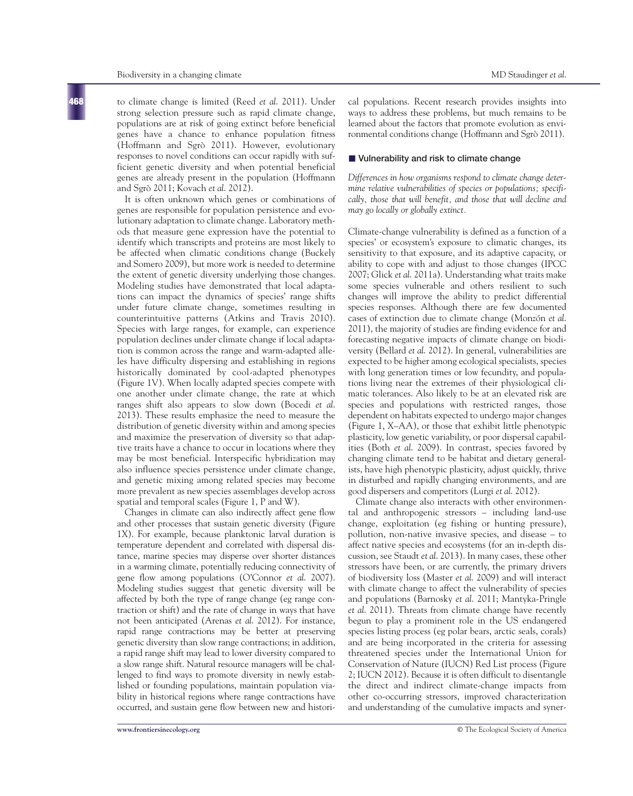to climate change is limited (Reed *et al*. 2011). Under strong selection pressure such as rapid climate change, populations are at risk of going extinct before beneficial genes have a chance to enhance population fitness (Hoffmann and Sgrò 2011). However, evolutionary responses to novel conditions can occur rapidly with sufficient genetic diversity and when potential beneficial genes are already present in the population (Hoffmann and Sgrò 2011; Kovach *et al*. 2012).

It is often unknown which genes or combinations of genes are responsible for population persistence and evolutionary adaptation to climate change. Laboratory methods that measure gene expression have the potential to identify which transcripts and proteins are most likely to be affected when climatic conditions change (Buckely and Somero 2009), but more work is needed to determine the extent of genetic diversity underlying those changes. Modeling studies have demonstrated that local adaptations can impact the dynamics of species' range shifts under future climate change, sometimes resulting in counterintuitive patterns (Atkins and Travis 2010). Species with large ranges, for example, can experience population declines under climate change if local adaptation is common across the range and warm-adapted alleles have difficulty dispersing and establishing in regions historically dominated by cool-adapted phenotypes (Figure 1V). When locally adapted species compete with one another under climate change, the rate at which ranges shift also appears to slow down (Bocedi *et al*. 2013). These results emphasize the need to measure the distribution of genetic diversity within and among species and maximize the preservation of diversity so that adaptive traits have a chance to occur in locations where they may be most beneficial. Interspecific hybridization may also influence species persistence under climate change, and genetic mixing among related species may become more prevalent as new species assemblages develop across spatial and temporal scales (Figure 1, P and W).

Changes in climate can also indirectly affect gene flow and other processes that sustain genetic diversity (Figure 1X). For example, because planktonic larval duration is temperature dependent and correlated with dispersal distance, marine species may disperse over shorter distances in a warming climate, potentially reducing connectivity of gene flow among populations (O'Connor *et al*. 2007). Modeling studies suggest that genetic diversity will be affected by both the type of range change (eg range contraction or shift) and the rate of change in ways that have not been anticipated (Arenas *et al*. 2012). For instance, rapid range contractions may be better at preserving genetic diversity than slow range contractions; in addition, a rapid range shift may lead to lower diversity compared to a slow range shift. Natural resource managers will be challenged to find ways to promote diversity in newly established or founding populations, maintain population viability in historical regions where range contractions have occurred, and sustain gene flow between new and historical populations. Recent research provides insights into ways to address these problems, but much remains to be learned about the factors that promote evolution as environmental conditions change (Hoffmann and Sgrò 2011).

#### ■ Vulnerability and risk to climate change

*Differences in how organisms respond to climate change determine relative vulnerabilities of species or populations; specifically, those that will benefit, and those that will decline and may go locally or globally extinct.*

Climate-change vulnerability is defined as a function of a species' or ecosystem's exposure to climatic changes, its sensitivity to that exposure, and its adaptive capacity, or ability to cope with and adjust to those changes (IPCC 2007; Glick *et al*. 2011a). Understanding what traits make some species vulnerable and others resilient to such changes will improve the ability to predict differential species responses. Although there are few documented cases of extinction due to climate change (Monzón *et al*. 2011), the majority of studies are finding evidence for and forecasting negative impacts of climate change on biodiversity (Bellard *et al*. 2012). In general, vulnerabilities are expected to be higher among ecological specialists, species with long generation times or low fecundity, and populations living near the extremes of their physiological climatic tolerances. Also likely to be at an elevated risk are species and populations with restricted ranges, those dependent on habitats expected to undergo major changes (Figure 1, X–AA), or those that exhibit little phenotypic plasticity, low genetic variability, or poor dispersal capabilities (Both *et al*. 2009). In contrast, species favored by changing climate tend to be habitat and dietary generalists, have high phenotypic plasticity, adjust quickly, thrive in disturbed and rapidly changing environments, and are good dispersers and competitors (Lurgi *et al*. 2012).

Climate change also interacts with other environmental and anthropogenic stressors – including land-use change, exploitation (eg fishing or hunting pressure), pollution, non-native invasive species, and disease – to affect native species and ecosystems (for an in-depth discussion, see Staudt *et al*. 2013). In many cases, these other stressors have been, or are currently, the primary drivers of biodiversity loss (Master *et al*. 2009) and will interact with climate change to affect the vulnerability of species and populations (Barnosky *et al*. 2011; Mantyka-Pringle *et al*. 2011). Threats from climate change have recently begun to play a prominent role in the US endangered species listing process (eg polar bears, arctic seals, corals) and are being incorporated in the criteria for assessing threatened species under the International Union for Conservation of Nature (IUCN) Red List process (Figure 2; IUCN 2012). Because it is often difficult to disentangle the direct and indirect climate-change impacts from other co-occurring stressors, improved characterization and understanding of the cumulative impacts and syner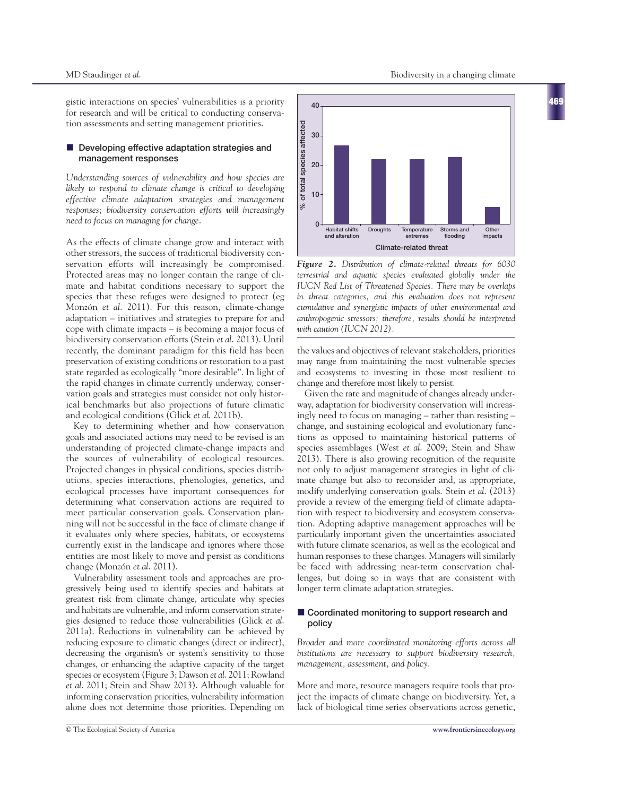gistic interactions on species' vulnerabilities is a priority for research and will be critical to conducting conservation assessments and setting management priorities.

## ■ Developing effective adaptation strategies and **management responses**

*Understanding sources of vulnerability and how species are likely to respond to climate change is critical to developing effective climate adaptation strategies and management responses; biodiversity conservation efforts will increasingly need to focus on managing for change*.

As the effects of climate change grow and interact with other stressors, the success of traditional biodiversity conservation efforts will increasingly be compromised. Protected areas may no longer contain the range of climate and habitat conditions necessary to support the species that these refuges were designed to protect (eg Monzón *et al*. 2011). For this reason, climate-change adaptation – initiatives and strategies to prepare for and cope with climate impacts – is becoming a major focus of biodiversity conservation efforts (Stein *et al*. 2013). Until recently, the dominant paradigm for this field has been preservation of existing conditions or restoration to a past state regarded as ecologically "more desirable". In light of the rapid changes in climate currently underway, conservation goals and strategies must consider not only historical benchmarks but also projections of future climatic and ecological conditions (Glick *et al*. 2011b).

Key to determining whether and how conservation goals and associated actions may need to be revised is an understanding of projected climate-change impacts and the sources of vulnerability of ecological resources. Projected changes in physical conditions, species distributions, species interactions, phenologies, genetics, and ecological processes have important consequences for determining what conservation actions are required to meet particular conservation goals. Conservation planning will not be successful in the face of climate change if it evaluates only where species, habitats, or ecosystems currently exist in the landscape and ignores where those entities are most likely to move and persist as conditions change (Monzón *et al*. 2011).

Vulnerability assessment tools and approaches are progressively being used to identify species and habitats at greatest risk from climate change, articulate why species and habitats are vulnerable, and inform conservation strategies designed to reduce those vulnerabilities (Glick *et al*. 2011a). Reductions in vulnerability can be achieved by reducing exposure to climatic changes (direct or indirect), decreasing the organism's or system's sensitivity to those changes, or enhancing the adaptive capacity of the target species or ecosystem (Figure 3; Dawson *et al*. 2011; Rowland *et al*. 2011; Stein and Shaw 2013). Although valuable for informing conservation priorities, vulnerability information alone does not determine those priorities. Depending on



*Figure 2. Distribution of climate-related threats for 6030 terrestrial and aquatic species evaluated globally under the IUCN Red List of Threatened Species. There may be overlaps in threat categories, and this evaluation does not represent cumulative and synergistic impacts of other environmental and anthropogenic stressors; therefore, results should be interpreted with caution (IUCN 2012).*

the values and objectives of relevant stakeholders, priorities may range from maintaining the most vulnerable species and ecosystems to investing in those most resilient to change and therefore most likely to persist.

Given the rate and magnitude of changes already underway, adaptation for biodiversity conservation will increasingly need to focus on managing – rather than resisting – change, and sustaining ecological and evolutionary functions as opposed to maintaining historical patterns of species assemblages (West *et al*. 2009; Stein and Shaw 2013). There is also growing recognition of the requisite not only to adjust management strategies in light of climate change but also to reconsider and, as appropriate, modify underlying conservation goals. Stein *et al*. (2013) provide a review of the emerging field of climate adaptation with respect to biodiversity and ecosystem conservation. Adopting adaptive management approaches will be particularly important given the uncertainties associated with future climate scenarios, as well as the ecological and human responses to these changes. Managers will similarly be faced with addressing near-term conservation challenges, but doing so in ways that are consistent with longer term climate adaptation strategies.

## ■ Coordinated monitoring to support research and **policy**

*Broader and more coordinated monitoring efforts across all institutions are necessary to support biodiversity research, management, assessment, and policy.*

More and more, resource managers require tools that project the impacts of climate change on biodiversity. Yet, a lack of biological time series observations across genetic,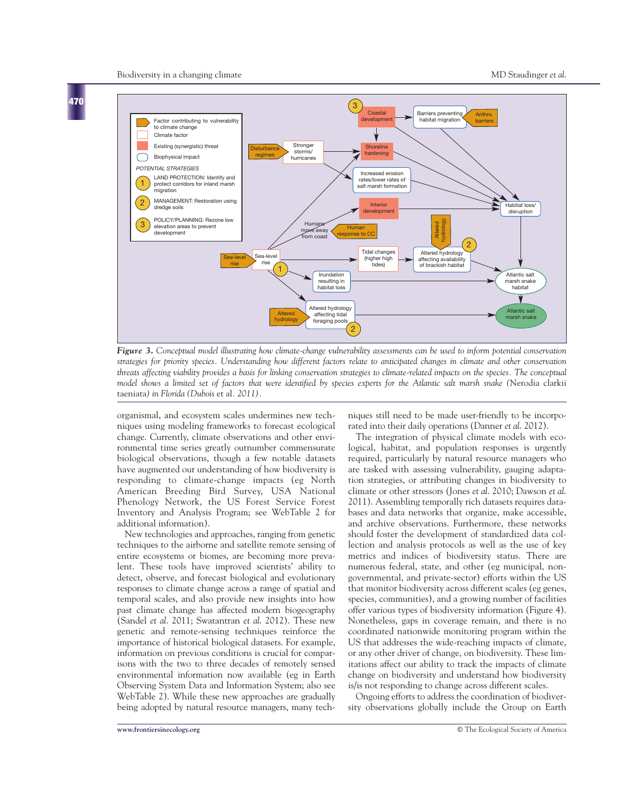**470**



*Figure 3. Conceptual model illustrating how climate-change vulnerability assessments can be used to inform potential conservation strategies for priority species. Understanding how different factors relate to anticipated changes in climate and other conservation threats affecting viability provides a basis for linking conservation strategies to climate-related impacts on the species. The conceptual model shows a limited set of factors that were identified by species experts for the Atlantic salt marsh snake (*Nerodia clarkii taeniata*) in Florida (Dubois* et al*. 2011).*

organismal, and ecosystem scales undermines new techniques using modeling frameworks to forecast ecological change. Currently, climate observations and other environmental time series greatly outnumber commensurate biological observations, though a few notable datasets have augmented our understanding of how biodiversity is responding to climate-change impacts (eg North American Breeding Bird Survey, USA National Phenology Network, the US Forest Service Forest Inventory and Analysis Program; see WebTable 2 for additional information).

New technologies and approaches, ranging from genetic techniques to the airborne and satellite remote sensing of entire ecosystems or biomes, are becoming more prevalent. These tools have improved scientists' ability to detect, observe, and forecast biological and evolutionary responses to climate change across a range of spatial and temporal scales, and also provide new insights into how past climate change has affected modern biogeography (Sandel *et al*. 2011; Swatantran *et al*. 2012). These new genetic and remote-sensing techniques reinforce the importance of historical biological datasets. For example, information on previous conditions is crucial for comparisons with the two to three decades of remotely sensed environmental information now available (eg in Earth Observing System Data and Information System; also see WebTable 2). While these new approaches are gradually being adopted by natural resource managers, many techniques still need to be made user-friendly to be incorporated into their daily operations (Danner *et al*. 2012).

The integration of physical climate models with ecological, habitat, and population responses is urgently required, particularly by natural resource managers who are tasked with assessing vulnerability, gauging adaptation strategies, or attributing changes in biodiversity to climate or other stressors (Jones *et al*. 2010; Dawson *et al*. 2011). Assembling temporally rich datasets requires databases and data networks that organize, make accessible, and archive observations. Furthermore, these networks should foster the development of standardized data collection and analysis protocols as well as the use of key metrics and indices of biodiversity status. There are numerous federal, state, and other (eg municipal, nongovernmental, and private-sector) efforts within the US that monitor biodiversity across different scales (eg genes, species, communities), and a growing number of facilities offer various types of biodiversity information (Figure 4). Nonetheless, gaps in coverage remain, and there is no coordinated nationwide monitoring program within the US that addresses the wide-reaching impacts of climate, or any other driver of change, on biodiversity. These limitations affect our ability to track the impacts of climate change on biodiversity and understand how biodiversity is/is not responding to change across different scales.

Ongoing efforts to address the coordination of biodiversity observations globally include the Group on Earth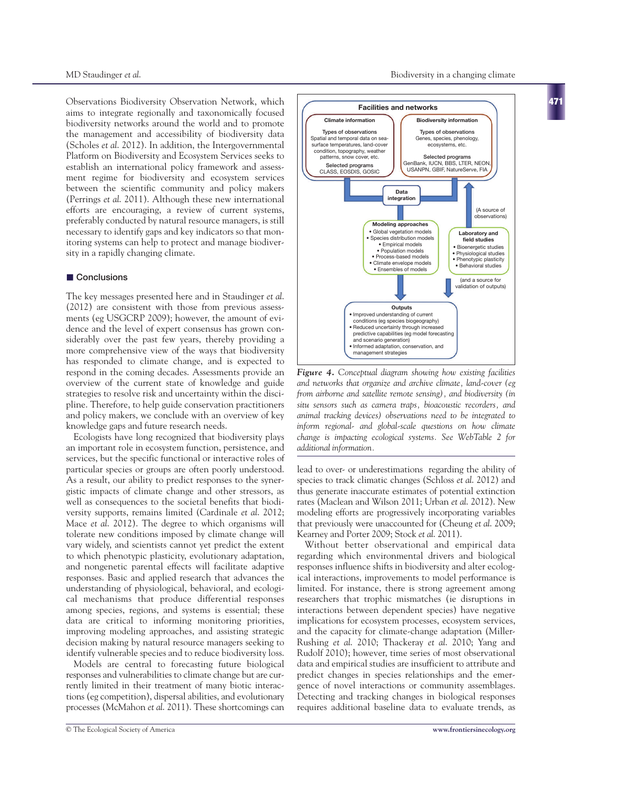Observations Biodiversity Observation Network, which aims to integrate regionally and taxonomically focused biodiversity networks around the world and to promote the management and accessibility of biodiversity data (Scholes *et al*. 2012). In addition, the Intergovernmental Platform on Biodiversity and Ecosystem Services seeks to establish an international policy framework and assessment regime for biodiversity and ecosystem services between the scientific community and policy makers (Perrings *et al*. 2011). Although these new international efforts are encouraging, a review of current systems, preferably conducted by natural resource managers, is still necessary to identify gaps and key indicators so that monitoring systems can help to protect and manage biodiversity in a rapidly changing climate.

#### ■ Conclusions

The key messages presented here and in Staudinger *et al*. (2012) are consistent with those from previous assessments (eg USGCRP 2009); however, the amount of evidence and the level of expert consensus has grown considerably over the past few years, thereby providing a more comprehensive view of the ways that biodiversity has responded to climate change, and is expected to respond in the coming decades. Assessments provide an overview of the current state of knowledge and guide strategies to resolve risk and uncertainty within the discipline. Therefore, to help guide conservation practitioners and policy makers, we conclude with an overview of key knowledge gaps and future research needs.

Ecologists have long recognized that biodiversity plays an important role in ecosystem function, persistence, and services, but the specific functional or interactive roles of particular species or groups are often poorly understood. As a result, our ability to predict responses to the synergistic impacts of climate change and other stressors, as well as consequences to the societal benefits that biodiversity supports, remains limited (Cardinale *et al*. 2012; Mace *et al*. 2012). The degree to which organisms will tolerate new conditions imposed by climate change will vary widely, and scientists cannot yet predict the extent to which phenotypic plasticity, evolutionary adaptation, and nongenetic parental effects will facilitate adaptive responses. Basic and applied research that advances the understanding of physiological, behavioral, and ecological mechanisms that produce differential responses among species, regions, and systems is essential; these data are critical to informing monitoring priorities, improving modeling approaches, and assisting strategic decision making by natural resource managers seeking to identify vulnerable species and to reduce biodiversity loss.

Models are central to forecasting future biological responses and vulnerabilities to climate change but are currently limited in their treatment of many biotic interactions (eg competition), dispersal abilities, and evolutionary processes (McMahon *et al*. 2011). These shortcomings can **471**



*Figure 4. Conceptual diagram showing how existing facilities and networks that organize and archive climate, land-cover (eg from airborne and satellite remote sensing), and biodiversity (in situ sensors such as camera traps, bioacoustic recorders, and animal tracking devices) observations need to be integrated to inform regional- and global-scale questions on how climate change is impacting ecological systems. See WebTable 2 for additional information.*

lead to over- or underestimations regarding the ability of species to track climatic changes (Schloss *et al*. 2012) and thus generate inaccurate estimates of potential extinction rates (Maclean and Wilson 2011; Urban *et al*. 2012). New modeling efforts are progressively incorporating variables that previously were unaccounted for (Cheung *et al*. 2009; Kearney and Porter 2009; Stock *et al*. 2011).

Without better observational and empirical data regarding which environmental drivers and biological responses influence shifts in biodiversity and alter ecological interactions, improvements to model performance is limited. For instance, there is strong agreement among researchers that trophic mismatches (ie disruptions in interactions between dependent species) have negative implications for ecosystem processes, ecosystem services, and the capacity for climate-change adaptation (Miller-Rushing *et al*. 2010; Thackeray *et al*. 2010; Yang and Rudolf 2010); however, time series of most observational data and empirical studies are insufficient to attribute and predict changes in species relationships and the emergence of novel interactions or community assemblages. Detecting and tracking changes in biological responses requires additional baseline data to evaluate trends, as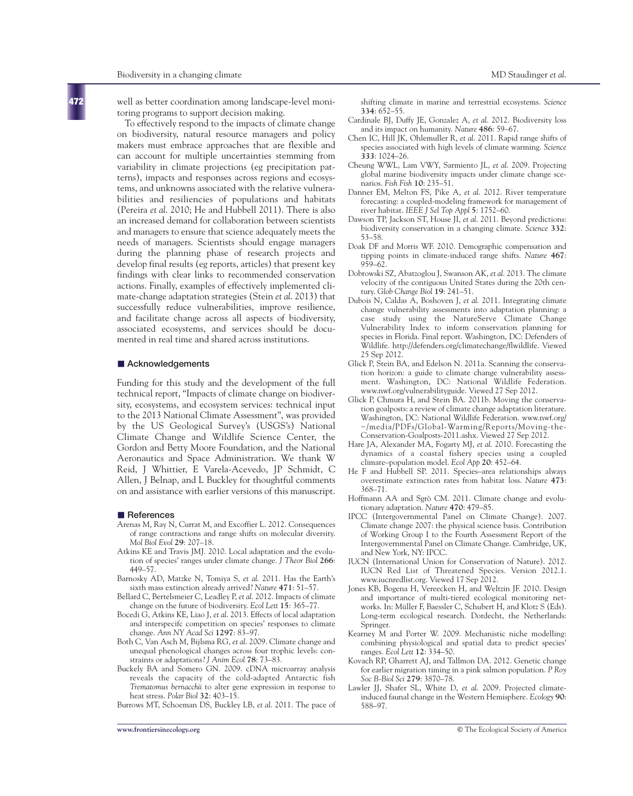**472**

well as better coordination among landscape-level monitoring programs to support decision making.

To effectively respond to the impacts of climate change on biodiversity, natural resource managers and policy makers must embrace approaches that are flexible and can account for multiple uncertainties stemming from variability in climate projections (eg precipitation patterns), impacts and responses across regions and ecosystems, and unknowns associated with the relative vulnerabilities and resiliencies of populations and habitats (Pereira *et al*. 2010; He and Hubbell 2011). There is also an increased demand for collaboration between scientists and managers to ensure that science adequately meets the needs of managers. Scientists should engage managers during the planning phase of research projects and develop final results (eg reports, articles) that present key findings with clear links to recommended conservation actions. Finally, examples of effectively implemented climate-change adaptation strategies (Stein *et al*. 2013) that successfully reduce vulnerabilities, improve resilience, and facilitate change across all aspects of biodiversity, associated ecosystems, and services should be documented in real time and shared across institutions.

#### $\blacksquare$  **Acknowledgements**

Funding for this study and the development of the full technical report, "Impacts of climate change on biodiversity, ecosystems, and ecosystem services: technical input to the 2013 National Climate Assessment", was provided by the US Geological Survey's (USGS's) National Climate Change and Wildlife Science Center, the Gordon and Betty Moore Foundation, and the National Aeronautics and Space Administration. We thank W Reid, J Whittier, E Varela-Acevedo, JP Schmidt, C Allen, J Belnap, and L Buckley for thoughtful comments on and assistance with earlier versions of this manuscript.

#### **n** References

- Arenas M, Ray N, Currat M, and Excoffier L. 2012. Consequences of range contractions and range shifts on molecular diversity. *Mol Biol Evol* **29**: 207–18.
- Atkins KE and Travis JMJ. 2010. Local adaptation and the evolution of species' ranges under climate change. *J Theor Biol* **266**: 449–57.
- Barnosky AD, Matzke N, Tomiya S, *et al*. 2011. Has the Earth's sixth mass extinction already arrived? *Nature* **471**: 51–57.
- Bellard C, Bertelsmeier C, Leadley P, *et al*. 2012. Impacts of climate change on the future of biodiversity. *Ecol Lett* **15**: 365–77.
- Bocedi G, Atkins KE, Liao J, *et al*. 2013. Effects of local adaptation and interspecifc competition on species' responses to climate change. *Ann NY Acad Sci* **1297**: 83–97.
- Both C, Van Asch M, Bijlsma RG, *et al*. 2009. Climate change and unequal phenological changes across four trophic levels: constraints or adaptations? *J Anim Ecol* **78**: 73–83.
- Buckely BA and Somero GN. 2009. cDNA microarray analysis reveals the capacity of the cold-adapted Antarctic fish *Trematomus bernacchii* to alter gene expression in response to heat stress. *Polar Biol* **32**: 403–15.

Burrows MT, Schoeman DS, Buckley LB, *et al*. 2011. The pace of

shifting climate in marine and terrestrial ecosystems. *Science* **334**: 652–55.

- Cardinale BJ, Duffy JE, Gonzalez A, *et al*. 2012. Biodiversity loss and its impact on humanity. *Nature* **486**: 59–67.
- Chen IC, Hill JK, Ohlemuller R, *et al*. 2011. Rapid range shifts of species associated with high levels of climate warming. *Science 333*: 1024–26.
- Cheung WWL, Lam VWY, Sarmiento JL, *et al*. 2009. Projecting global marine biodiversity impacts under climate change scenarios. *Fish Fish* **10**: 235–51.
- Danner EM, Melton FS, Pike A, *et al*. 2012. River temperature forecasting: a coupled-modeling framework for management of river habitat. *IEEE J Sel Top Appl* **5**: 1752–60.
- Dawson TP, Jackson ST, House JI, *et al*. 2011. Beyond predictions: biodiversity conservation in a changing climate. *Science* **332**: 53–58.
- Doak DF and Morris WF. 2010. Demographic compensation and tipping points in climate-induced range shifts. *Nature* **467**: 959–62.
- Dobrowski SZ, Abatzoglou J, Swanson AK, *et al*. 2013. The climate velocity of the contiguous United States during the 20th century. *Glob Change Biol* **19**: 241–51.
- Dubois N, Caldas A, Boshoven J, *et al*. 2011. Integrating climate change vulnerability assessments into adaptation planning: a case study using the NatureServe Climate Change Vulnerability Index to inform conservation planning for species in Florida. Final report. Washington, DC: Defenders of Wildlife. http://defenders.org/climatechange/flwildlife. Viewed 25 Sep 2012.
- Glick P, Stein BA, and Edelson N. 2011a. Scanning the conservation horizon: a guide to climate change vulnerability assessment. Washington, DC: National Wildlife Federation. www.nwf.org/vulnerabilityguide. Viewed 27 Sep 2012.
- Glick P, Chmura H, and Stein BA. 2011b. Moving the conservation goalposts: a review of climate change adaptation literature. Washington, DC: National Wildlife Federation. www.nwf.org/ ~/media/PDFs/Global-Warming/Reports/Moving-the-Conservation-Goalposts-2011.ashx. Viewed 27 Sep 2012.
- Hare JA, Alexander MA, Fogarty MJ, *et al*. 2010. Forecasting the dynamics of a coastal fishery species using a coupled climate–population model. *Ecol App* **20**: 452–64.
- He F and Hubbell SP. 2011. Species–area relationships always overestimate extinction rates from habitat loss. *Nature* **473**: 368–71.
- Hoffmann AA and Sgrò CM. 2011. Climate change and evolutionary adaptation. *Nature* **470**: 479–85.
- IPCC (Intergovernmental Panel on Climate Change). 2007. Climate change 2007: the physical science basis. Contribution of Working Group I to the Fourth Assessment Report of the Intergovernmental Panel on Climate Change. Cambridge, UK, and New York, NY: IPCC.
- IUCN (International Union for Conservation of Nature). 2012. IUCN Red List of Threatened Species. Version 2012.1. www.iucnredlist.org. Viewed 17 Sep 2012.
- Jones KB, Bogena H, Vereecken H, and Weltzin JF. 2010. Design and importance of multi-tiered ecological monitoring networks. In: Müller F, Baessler C, Schubert H, and Klotz S (Eds). Long-term ecological research. Dordecht, the Netherlands: Springer.
- Kearney M and Porter W. 2009. Mechanistic niche modelling: combining physiological and spatial data to predict species' ranges. *Ecol Lett* **12**: 334–50.
- Kovach RP, Gharrett AJ, and Tallmon DA. 2012. Genetic change for earlier migration timing in a pink salmon population. *P Roy Soc B-Biol Sci* **279**: 3870–78.
- Lawler JJ, Shafer SL, White D, *et al*. 2009. Projected climateinduced faunal change in the Western Hemisphere. *Ecology* **90**: 588–97.